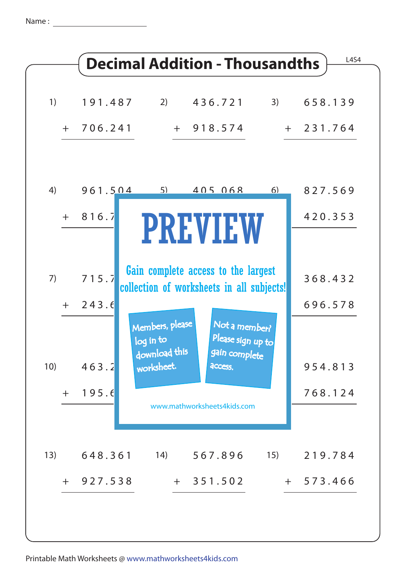Name :